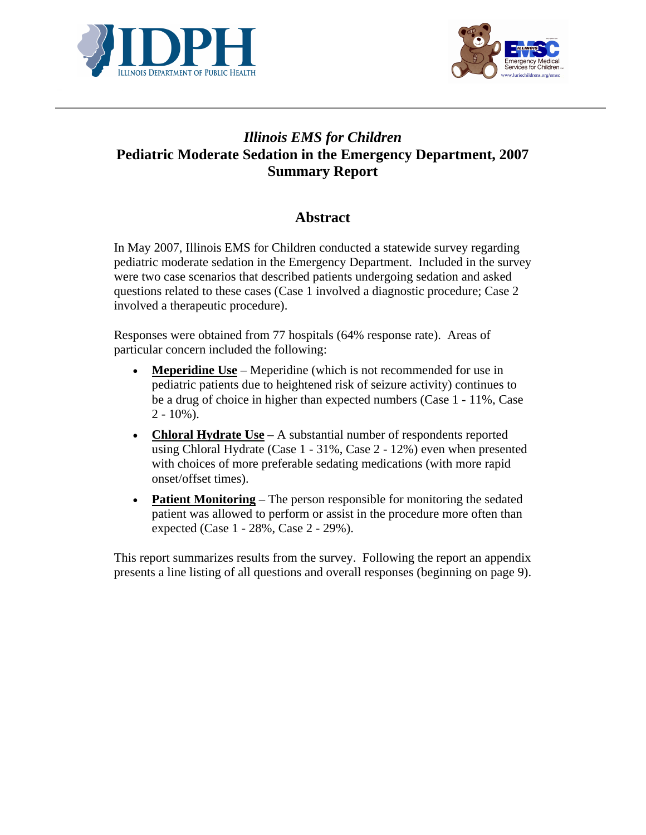



# *Illinois EMS for Children*  **Pediatric Moderate Sedation in the Emergency Department, 2007 Summary Report**

## **Abstract**

In May 2007, Illinois EMS for Children conducted a statewide survey regarding pediatric moderate sedation in the Emergency Department. Included in the survey were two case scenarios that described patients undergoing sedation and asked questions related to these cases (Case 1 involved a diagnostic procedure; Case 2 involved a therapeutic procedure).

Responses were obtained from 77 hospitals (64% response rate). Areas of particular concern included the following:

- **Meperidine Use** Meperidine (which is not recommended for use in pediatric patients due to heightened risk of seizure activity) continues to be a drug of choice in higher than expected numbers (Case 1 - 11%, Case  $2 - 10\%$ ).
- **Chloral Hydrate Use** A substantial number of respondents reported using Chloral Hydrate (Case 1 - 31%, Case 2 - 12%) even when presented with choices of more preferable sedating medications (with more rapid onset/offset times).
- **Patient Monitoring** The person responsible for monitoring the sedated patient was allowed to perform or assist in the procedure more often than expected (Case 1 - 28%, Case 2 - 29%).

This report summarizes results from the survey. Following the report an appendix presents a line listing of all questions and overall responses (beginning on page 9).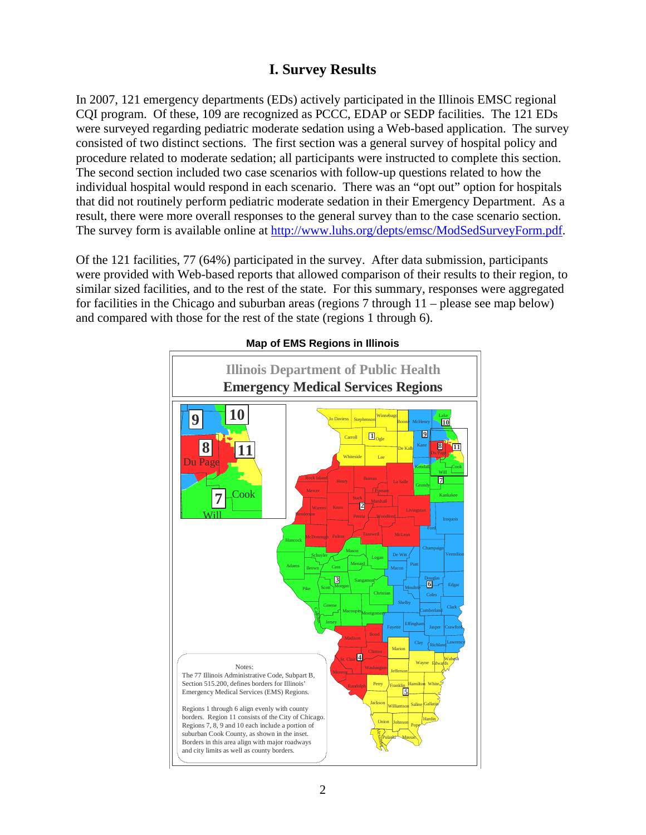## **I. Survey Results**

In 2007, 121 emergency departments (EDs) actively participated in the Illinois EMSC regional CQI program. Of these, 109 are recognized as PCCC, EDAP or SEDP facilities. The 121 EDs were surveyed regarding pediatric moderate sedation using a Web-based application. The survey consisted of two distinct sections. The first section was a general survey of hospital policy and procedure related to moderate sedation; all participants were instructed to complete this section. The second section included two case scenarios with follow-up questions related to how the individual hospital would respond in each scenario. There was an "opt out" option for hospitals that did not routinely perform pediatric moderate sedation in their Emergency Department. As a result, there were more overall responses to the general survey than to the case scenario section. The survey form is available online at http://www.luhs.org/depts/emsc/ModSedSurveyForm.pdf.

Of the 121 facilities, 77 (64%) participated in the survey. After data submission, participants were provided with Web-based reports that allowed comparison of their results to their region, to similar sized facilities, and to the rest of the state. For this summary, responses were aggregated for facilities in the Chicago and suburban areas (regions 7 through 11 – please see map below) and compared with those for the rest of the state (regions 1 through 6).



**Map of EMS Regions in Illinois**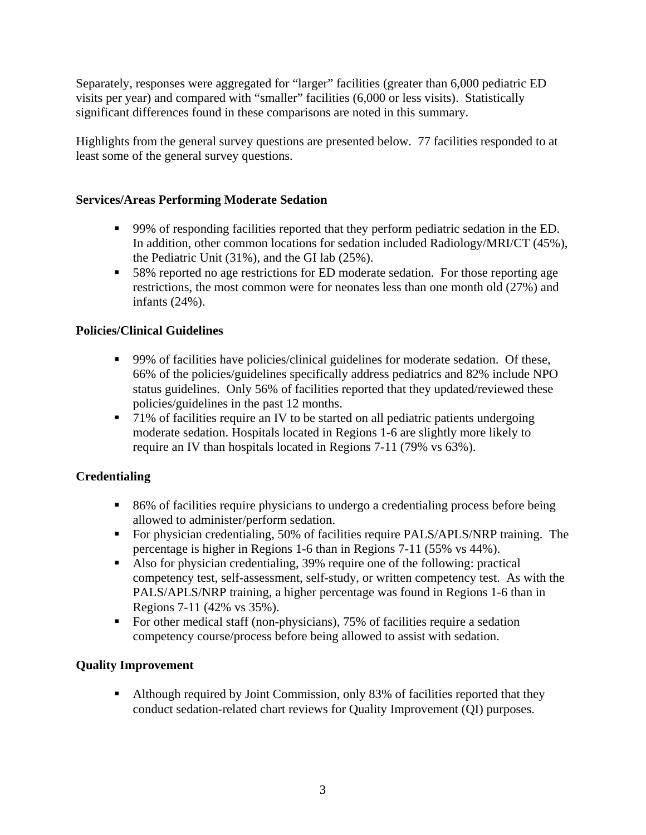Separately, responses were aggregated for "larger" facilities (greater than 6,000 pediatric ED visits per year) and compared with "smaller" facilities (6,000 or less visits). Statistically significant differences found in these comparisons are noted in this summary.

Highlights from the general survey questions are presented below. 77 facilities responded to at least some of the general survey questions.

#### **Services/Areas Performing Moderate Sedation**

- 99% of responding facilities reported that they perform pediatric sedation in the ED. In addition, other common locations for sedation included Radiology/MRI/CT (45%), the Pediatric Unit (31%), and the GI lab (25%).
- 58% reported no age restrictions for ED moderate sedation. For those reporting age restrictions, the most common were for neonates less than one month old (27%) and infants (24%).

## **Policies/Clinical Guidelines**

- 99% of facilities have policies/clinical guidelines for moderate sedation. Of these, 66% of the policies/guidelines specifically address pediatrics and 82% include NPO status guidelines. Only 56% of facilities reported that they updated/reviewed these policies/guidelines in the past 12 months.
- <sup>1</sup> 71% of facilities require an IV to be started on all pediatric patients undergoing moderate sedation. Hospitals located in Regions 1-6 are slightly more likely to require an IV than hospitals located in Regions 7-11 (79% vs 63%).

## **Credentialing**

- 86% of facilities require physicians to undergo a credentialing process before being allowed to administer/perform sedation.
- For physician credentialing, 50% of facilities require PALS/APLS/NRP training. The percentage is higher in Regions 1-6 than in Regions 7-11 (55% vs 44%).
- Also for physician credentialing, 39% require one of the following: practical competency test, self-assessment, self-study, or written competency test. As with the PALS/APLS/NRP training, a higher percentage was found in Regions 1-6 than in Regions 7-11 (42% vs 35%).
- For other medical staff (non-physicians), 75% of facilities require a sedation competency course/process before being allowed to assist with sedation.

#### **Quality Improvement**

• Although required by Joint Commission, only 83% of facilities reported that they conduct sedation-related chart reviews for Quality Improvement (QI) purposes.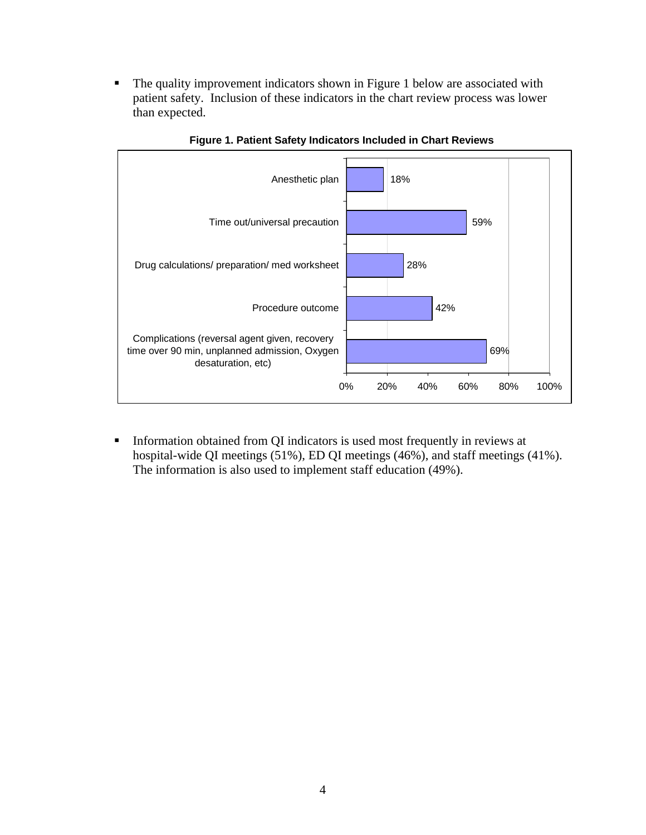• The quality improvement indicators shown in Figure 1 below are associated with patient safety. Inclusion of these indicators in the chart review process was lower than expected.



**Figure 1. Patient Safety Indicators Included in Chart Reviews**

**Information obtained from QI indicators is used most frequently in reviews at** hospital-wide QI meetings (51%), ED QI meetings (46%), and staff meetings (41%). The information is also used to implement staff education (49%).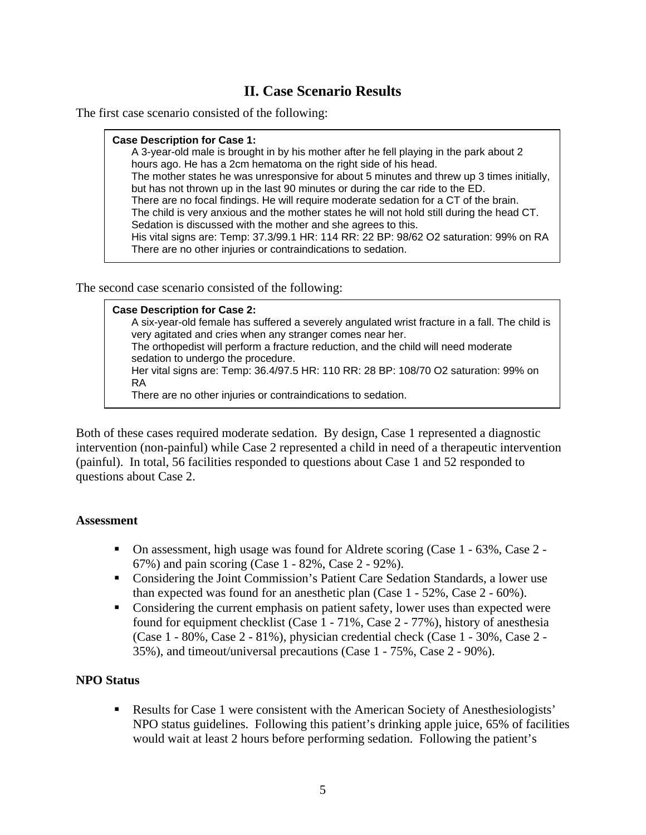# **II. Case Scenario Results**

The first case scenario consisted of the following:

#### **Case Description for Case 1:**

A 3-year-old male is brought in by his mother after he fell playing in the park about 2 hours ago. He has a 2cm hematoma on the right side of his head. The mother states he was unresponsive for about 5 minutes and threw up 3 times initially, but has not thrown up in the last 90 minutes or during the car ride to the ED. There are no focal findings. He will require moderate sedation for a CT of the brain. The child is very anxious and the mother states he will not hold still during the head CT. Sedation is discussed with the mother and she agrees to this. His vital signs are: Temp: 37.3/99.1 HR: 114 RR: 22 BP: 98/62 O2 saturation: 99% on RA There are no other injuries or contraindications to sedation.

The second case scenario consisted of the following:

#### **Case Description for Case 2:**

A six-year-old female has suffered a severely angulated wrist fracture in a fall. The child is very agitated and cries when any stranger comes near her. The orthopedist will perform a fracture reduction, and the child will need moderate sedation to undergo the procedure. Her vital signs are: Temp: 36.4/97.5 HR: 110 RR: 28 BP: 108/70 O2 saturation: 99% on RA There are no other injuries or contraindications to sedation.

Both of these cases required moderate sedation. By design, Case 1 represented a diagnostic intervention (non-painful) while Case 2 represented a child in need of a therapeutic intervention (painful). In total, 56 facilities responded to questions about Case 1 and 52 responded to questions about Case 2.

#### **Assessment**

- On assessment, high usage was found for Aldrete scoring (Case 1 63%, Case 2 67%) and pain scoring (Case 1 - 82%, Case 2 - 92%).
- Considering the Joint Commission's Patient Care Sedation Standards, a lower use than expected was found for an anesthetic plan (Case 1 - 52%, Case 2 - 60%).
- Considering the current emphasis on patient safety, lower uses than expected were found for equipment checklist (Case 1 - 71%, Case 2 - 77%), history of anesthesia (Case  $1 - 80\%$ , Case  $2 - 81\%$ ), physician credential check (Case  $1 - 30\%$ , Case  $2 - 1$ 35%), and timeout/universal precautions (Case 1 - 75%, Case 2 - 90%).

#### **NPO Status**

 Results for Case 1 were consistent with the American Society of Anesthesiologists' NPO status guidelines. Following this patient's drinking apple juice, 65% of facilities would wait at least 2 hours before performing sedation. Following the patient's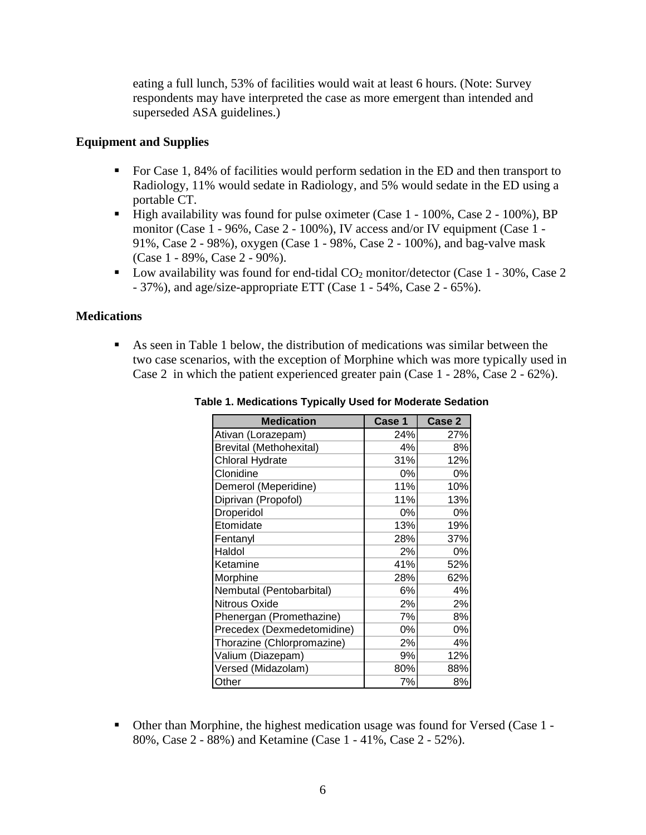eating a full lunch, 53% of facilities would wait at least 6 hours. (Note: Survey respondents may have interpreted the case as more emergent than intended and superseded ASA guidelines.)

#### **Equipment and Supplies**

- For Case 1, 84% of facilities would perform sedation in the ED and then transport to Radiology, 11% would sedate in Radiology, and 5% would sedate in the ED using a portable CT.
- High availability was found for pulse oximeter (Case 1 100%, Case 2 100%), BP monitor (Case 1 - 96%, Case 2 - 100%), IV access and/or IV equipment (Case 1 - 91%, Case 2 - 98%), oxygen (Case 1 - 98%, Case 2 - 100%), and bag-valve mask (Case 1 - 89%, Case 2 - 90%).
- **Low availability was found for end-tidal**  $CO_2$  **monitor/detector (Case 1 30%, Case 2** - 37%), and age/size-appropriate ETT (Case 1 - 54%, Case 2 - 65%).

#### **Medications**

 As seen in Table 1 below, the distribution of medications was similar between the two case scenarios, with the exception of Morphine which was more typically used in Case 2 in which the patient experienced greater pain (Case 1 - 28%, Case 2 - 62%).

| <b>Medication</b>              | Case 1 | Case 2 |
|--------------------------------|--------|--------|
| Ativan (Lorazepam)             | 24%    | 27%    |
| <b>Brevital (Methohexital)</b> | 4%     | 8%     |
| <b>Chloral Hydrate</b>         | 31%    | 12%    |
| Clonidine                      | 0%     | 0%     |
| Demerol (Meperidine)           | 11%    | 10%    |
| Diprivan (Propofol)            | 11%    | 13%    |
| Droperidol                     | 0%     | 0%     |
| Etomidate                      | 13%    | 19%    |
| Fentanyl                       | 28%    | 37%    |
| Haldol                         | 2%     | 0%     |
| Ketamine                       | 41%    | 52%    |
| Morphine                       | 28%    | 62%    |
| Nembutal (Pentobarbital)       | 6%     | 4%     |
| Nitrous Oxide                  | 2%     | 2%     |
| Phenergan (Promethazine)       | 7%     | 8%     |
| Precedex (Dexmedetomidine)     | 0%     | 0%     |
| Thorazine (Chlorpromazine)     | 2%     | 4%     |
| Valium (Diazepam)              | 9%     | 12%    |
| Versed (Midazolam)             | 80%    | 88%    |
| Other                          | 7%     | 8%     |

**Table 1. Medications Typically Used for Moderate Sedation** 

 Other than Morphine, the highest medication usage was found for Versed (Case 1 - 80%, Case 2 - 88%) and Ketamine (Case 1 - 41%, Case 2 - 52%).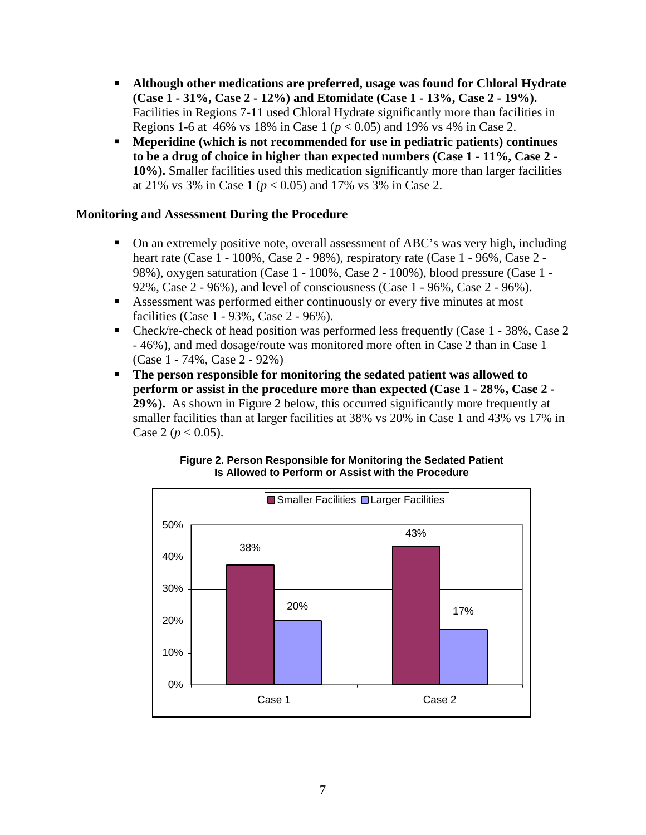- **Although other medications are preferred, usage was found for Chloral Hydrate (Case 1 - 31%, Case 2 - 12%) and Etomidate (Case 1 - 13%, Case 2 - 19%).** Facilities in Regions 7-11 used Chloral Hydrate significantly more than facilities in Regions 1-6 at 46% vs 18% in Case 1 (*p* < 0.05) and 19% vs 4% in Case 2.
- **Meperidine (which is not recommended for use in pediatric patients) continues to be a drug of choice in higher than expected numbers (Case 1 - 11%, Case 2 - 10%).** Smaller facilities used this medication significantly more than larger facilities at 21% vs 3% in Case 1 ( $p < 0.05$ ) and 17% vs 3% in Case 2.

#### **Monitoring and Assessment During the Procedure**

- On an extremely positive note, overall assessment of ABC's was very high, including heart rate (Case 1 - 100%, Case 2 - 98%), respiratory rate (Case 1 - 96%, Case 2 - 98%), oxygen saturation (Case 1 - 100%, Case 2 - 100%), blood pressure (Case 1 - 92%, Case 2 - 96%), and level of consciousness (Case 1 - 96%, Case 2 - 96%).
- Assessment was performed either continuously or every five minutes at most facilities (Case 1 - 93%, Case 2 - 96%).
- Check/re-check of head position was performed less frequently (Case 1 38%, Case 2) - 46%), and med dosage/route was monitored more often in Case 2 than in Case 1 (Case 1 - 74%, Case 2 - 92%)
- **The person responsible for monitoring the sedated patient was allowed to perform or assist in the procedure more than expected (Case 1 - 28%, Case 2 - 29%).** As shown in Figure 2 below, this occurred significantly more frequently at smaller facilities than at larger facilities at 38% vs 20% in Case 1 and 43% vs 17% in Case 2 ( $p < 0.05$ ).



**Figure 2. Person Responsible for Monitoring the Sedated Patient Is Allowed to Perform or Assist with the Procedure**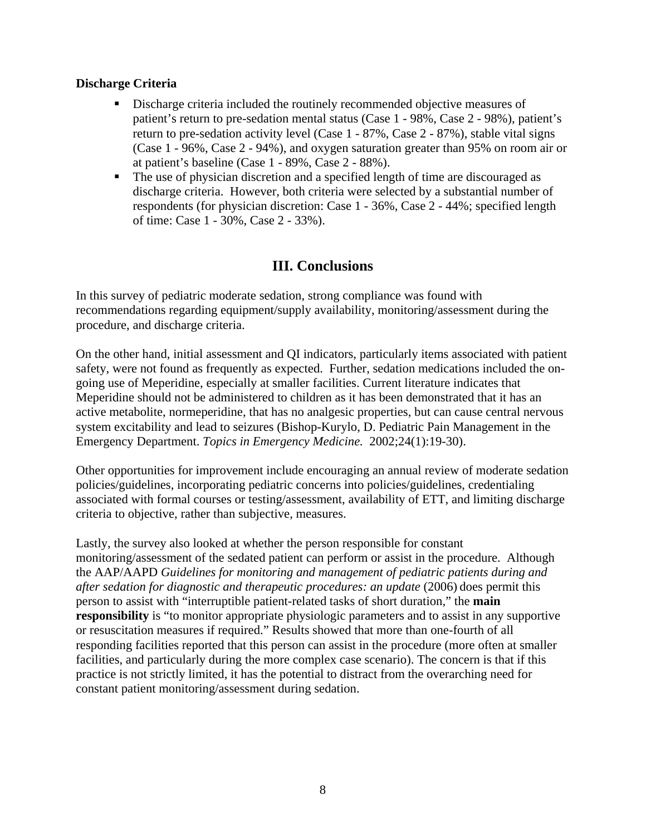#### **Discharge Criteria**

- Discharge criteria included the routinely recommended objective measures of patient's return to pre-sedation mental status (Case 1 - 98%, Case 2 - 98%), patient's return to pre-sedation activity level (Case 1 - 87%, Case 2 - 87%), stable vital signs (Case 1 - 96%, Case 2 - 94%), and oxygen saturation greater than 95% on room air or at patient's baseline (Case 1 - 89%, Case 2 - 88%).
- The use of physician discretion and a specified length of time are discouraged as discharge criteria. However, both criteria were selected by a substantial number of respondents (for physician discretion: Case 1 - 36%, Case 2 - 44%; specified length of time: Case 1 - 30%, Case 2 - 33%).

## **III. Conclusions**

In this survey of pediatric moderate sedation, strong compliance was found with recommendations regarding equipment/supply availability, monitoring/assessment during the procedure, and discharge criteria.

On the other hand, initial assessment and QI indicators, particularly items associated with patient safety, were not found as frequently as expected. Further, sedation medications included the ongoing use of Meperidine, especially at smaller facilities. Current literature indicates that Meperidine should not be administered to children as it has been demonstrated that it has an active metabolite, normeperidine, that has no analgesic properties, but can cause central nervous system excitability and lead to seizures (Bishop-Kurylo, D. Pediatric Pain Management in the Emergency Department. *Topics in Emergency Medicine.* 2002;24(1):19-30).

Other opportunities for improvement include encouraging an annual review of moderate sedation policies/guidelines, incorporating pediatric concerns into policies/guidelines, credentialing associated with formal courses or testing/assessment, availability of ETT, and limiting discharge criteria to objective, rather than subjective, measures.

Lastly, the survey also looked at whether the person responsible for constant monitoring/assessment of the sedated patient can perform or assist in the procedure. Although the AAP/AAPD *Guidelines for monitoring and management of pediatric patients during and after sedation for diagnostic and therapeutic procedures: an update* (2006) does permit this person to assist with "interruptible patient-related tasks of short duration," the **main responsibility** is "to monitor appropriate physiologic parameters and to assist in any supportive or resuscitation measures if required." Results showed that more than one-fourth of all responding facilities reported that this person can assist in the procedure (more often at smaller facilities, and particularly during the more complex case scenario). The concern is that if this practice is not strictly limited, it has the potential to distract from the overarching need for constant patient monitoring/assessment during sedation.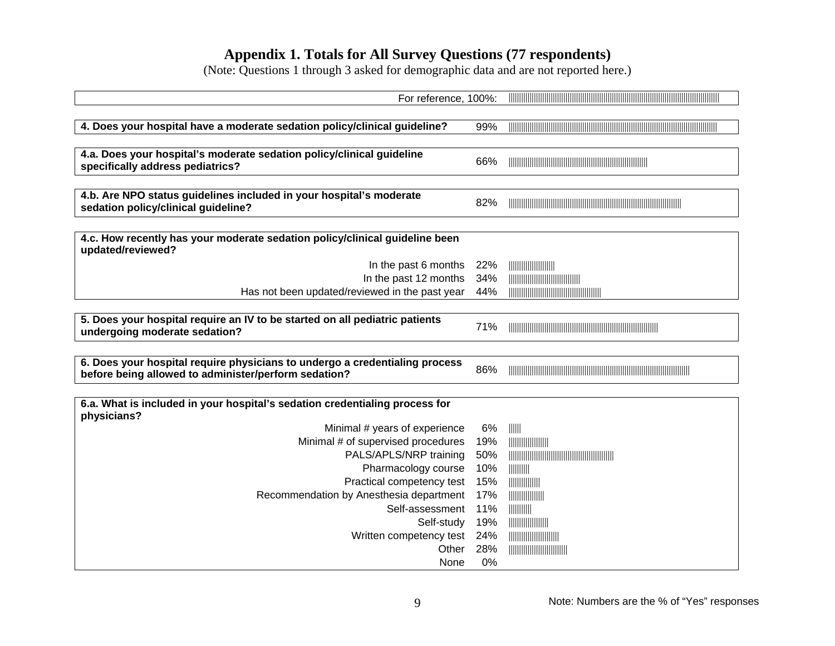# **Appendix 1. Totals for All Survey Questions (77 respondents)**

(Note: Questions 1 through 3 asked for demographic data and are not reported here.)

| For reference, 100%:                                                                                       |     |                                                                                                                                                                                                                                                                                                                     |
|------------------------------------------------------------------------------------------------------------|-----|---------------------------------------------------------------------------------------------------------------------------------------------------------------------------------------------------------------------------------------------------------------------------------------------------------------------|
|                                                                                                            |     |                                                                                                                                                                                                                                                                                                                     |
| 4. Does your hospital have a moderate sedation policy/clinical guideline?                                  | 99% |                                                                                                                                                                                                                                                                                                                     |
|                                                                                                            |     |                                                                                                                                                                                                                                                                                                                     |
| 4.a. Does your hospital's moderate sedation policy/clinical guideline                                      | 66% |                                                                                                                                                                                                                                                                                                                     |
| specifically address pediatrics?                                                                           |     |                                                                                                                                                                                                                                                                                                                     |
|                                                                                                            |     |                                                                                                                                                                                                                                                                                                                     |
| 4.b. Are NPO status guidelines included in your hospital's moderate<br>sedation policy/clinical guideline? | 82% |                                                                                                                                                                                                                                                                                                                     |
|                                                                                                            |     |                                                                                                                                                                                                                                                                                                                     |
| 4.c. How recently has your moderate sedation policy/clinical guideline been                                |     |                                                                                                                                                                                                                                                                                                                     |
| updated/reviewed?                                                                                          |     |                                                                                                                                                                                                                                                                                                                     |
| In the past 6 months                                                                                       | 22% |                                                                                                                                                                                                                                                                                                                     |
| In the past 12 months                                                                                      | 34% |                                                                                                                                                                                                                                                                                                                     |
| Has not been updated/reviewed in the past year                                                             | 44% |                                                                                                                                                                                                                                                                                                                     |
|                                                                                                            |     |                                                                                                                                                                                                                                                                                                                     |
| 5. Does your hospital require an IV to be started on all pediatric patients                                | 71% |                                                                                                                                                                                                                                                                                                                     |
| undergoing moderate sedation?                                                                              |     |                                                                                                                                                                                                                                                                                                                     |
|                                                                                                            |     |                                                                                                                                                                                                                                                                                                                     |
| 6. Does your hospital require physicians to undergo a credentialing process                                | 86% |                                                                                                                                                                                                                                                                                                                     |
| before being allowed to administer/perform sedation?                                                       |     |                                                                                                                                                                                                                                                                                                                     |
| 6.a. What is included in your hospital's sedation credentialing process for                                |     |                                                                                                                                                                                                                                                                                                                     |
| physicians?                                                                                                |     |                                                                                                                                                                                                                                                                                                                     |
| Minimal # years of experience                                                                              | 6%  | $\  \ \ $                                                                                                                                                                                                                                                                                                           |
| Minimal # of supervised procedures                                                                         | 19% |                                                                                                                                                                                                                                                                                                                     |
| PALS/APLS/NRP training                                                                                     | 50% |                                                                                                                                                                                                                                                                                                                     |
| Pharmacology course                                                                                        | 10% |                                                                                                                                                                                                                                                                                                                     |
| Practical competency test                                                                                  | 15% | $\frac{1}{2}$ $\frac{1}{2}$ $\frac{1}{2}$ $\frac{1}{2}$ $\frac{1}{2}$ $\frac{1}{2}$ $\frac{1}{2}$ $\frac{1}{2}$ $\frac{1}{2}$ $\frac{1}{2}$ $\frac{1}{2}$ $\frac{1}{2}$ $\frac{1}{2}$ $\frac{1}{2}$ $\frac{1}{2}$ $\frac{1}{2}$ $\frac{1}{2}$ $\frac{1}{2}$ $\frac{1}{2}$ $\frac{1}{2}$ $\frac{1}{2}$ $\frac{1}{2}$ |
| Recommendation by Anesthesia department                                                                    | 17% |                                                                                                                                                                                                                                                                                                                     |
| Self-assessment                                                                                            | 11% |                                                                                                                                                                                                                                                                                                                     |
| Self-study                                                                                                 | 19% |                                                                                                                                                                                                                                                                                                                     |
| Written competency test                                                                                    | 24% |                                                                                                                                                                                                                                                                                                                     |
| Other                                                                                                      | 28% |                                                                                                                                                                                                                                                                                                                     |
| None                                                                                                       | 0%  |                                                                                                                                                                                                                                                                                                                     |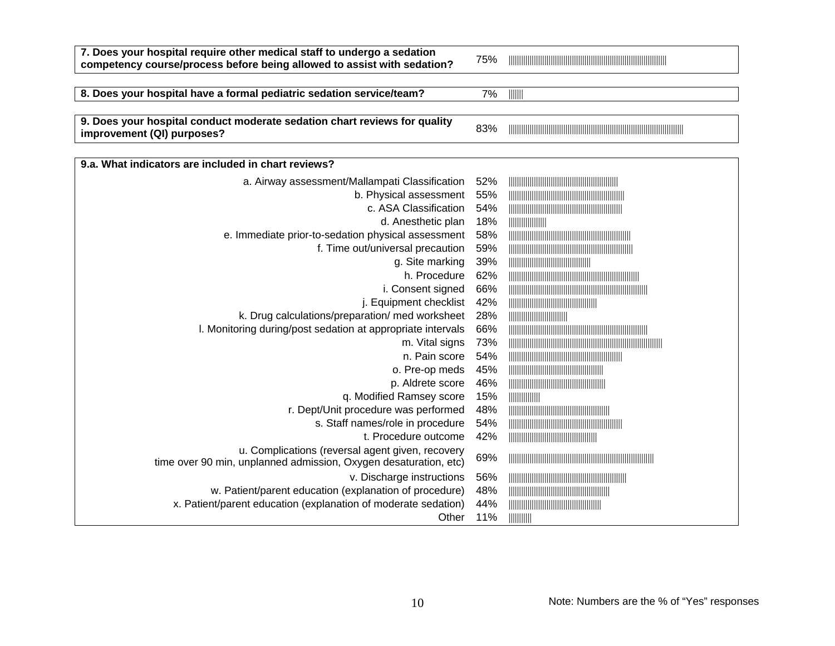| 7. Does your hospital require other medical staff to undergo a sedation<br>competency course/process before being allowed to assist with sedation? | 75% |               |
|----------------------------------------------------------------------------------------------------------------------------------------------------|-----|---------------|
|                                                                                                                                                    |     |               |
| 8. Does your hospital have a formal pediatric sedation service/team?                                                                               | 7%  |               |
|                                                                                                                                                    |     |               |
| 9. Does your hospital conduct moderate sedation chart reviews for quality<br>improvement (QI) purposes?                                            | 83% |               |
| 9.a. What indicators are included in chart reviews?                                                                                                |     |               |
| a. Airway assessment/Mallampati Classification                                                                                                     | 52% |               |
| b. Physical assessment                                                                                                                             | 55% |               |
| c. ASA Classification                                                                                                                              | 54% |               |
| d. Anesthetic plan                                                                                                                                 | 18% |               |
| e. Immediate prior-to-sedation physical assessment                                                                                                 | 58% |               |
| f. Time out/universal precaution                                                                                                                   | 59% |               |
| g. Site marking                                                                                                                                    | 39% |               |
| h. Procedure                                                                                                                                       | 62% |               |
| i. Consent signed                                                                                                                                  | 66% |               |
| j. Equipment checklist                                                                                                                             | 42% |               |
| k. Drug calculations/preparation/ med worksheet                                                                                                    | 28% |               |
| I. Monitoring during/post sedation at appropriate intervals                                                                                        | 66% |               |
| m. Vital signs                                                                                                                                     | 73% |               |
| n. Pain score                                                                                                                                      | 54% |               |
| o. Pre-op meds                                                                                                                                     | 45% |               |
| p. Aldrete score                                                                                                                                   | 46% |               |
| q. Modified Ramsey score                                                                                                                           | 15% |               |
| r. Dept/Unit procedure was performed                                                                                                               | 48% |               |
| s. Staff names/role in procedure                                                                                                                   | 54% |               |
| t. Procedure outcome                                                                                                                               | 42% |               |
| u. Complications (reversal agent given, recovery<br>time over 90 min, unplanned admission, Oxygen desaturation, etc)                               | 69% |               |
| v. Discharge instructions                                                                                                                          | 56% |               |
| w. Patient/parent education (explanation of procedure)                                                                                             | 48% |               |
| x. Patient/parent education (explanation of moderate sedation)                                                                                     | 44% |               |
| Other                                                                                                                                              | 11% | $\frac{1}{2}$ |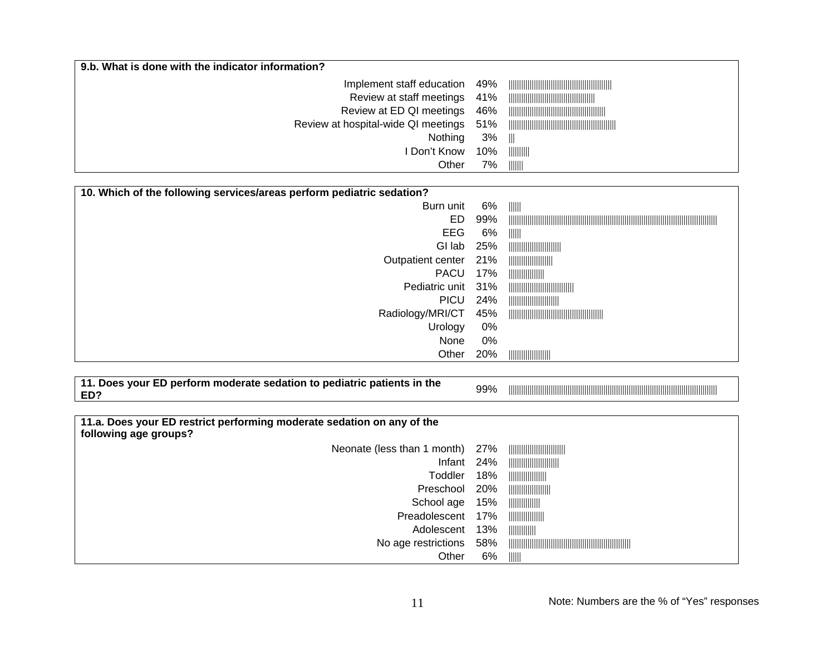| 9.b. What is done with the indicator information? |     |                       |
|---------------------------------------------------|-----|-----------------------|
| Implement staff education 49%                     |     |                       |
| Review at staff meetings 41%                      |     |                       |
| Review at ED QI meetings 46%                      |     |                       |
| Review at hospital-wide QI meetings 51%           |     |                       |
| Nothing                                           | 3%  | $\parallel \parallel$ |
| I Don't Know                                      | 10% |                       |
| Other                                             | 7%  | $\  \ \  \ \ $        |

| 10. Which of the following services/areas perform pediatric sedation? |     |                |  |
|-----------------------------------------------------------------------|-----|----------------|--|
| Burn unit                                                             | 6%  | $\  \ \  \ \ $ |  |
| ED.                                                                   | 99% |                |  |
| <b>EEG</b>                                                            | 6%  | $\  \ \  \ \ $ |  |
| GI lab                                                                | 25% |                |  |
| Outpatient center                                                     | 21% |                |  |
| <b>PACU</b>                                                           | 17% |                |  |
| Pediatric unit 31%                                                    |     |                |  |
| <b>PICU</b>                                                           | 24% |                |  |
| Radiology/MRI/CT                                                      | 45% |                |  |
| Urology                                                               | 0%  |                |  |
| None                                                                  | 0%  |                |  |
| Other                                                                 | 20% |                |  |

| <sup>41</sup> Does your ED perform moderate sedation to pediatric patients in the | 99% |                                                         |
|-----------------------------------------------------------------------------------|-----|---------------------------------------------------------|
|                                                                                   |     | IIIIIIII<br><b>IIIIIIIIII</b><br>adililit <sup>iy</sup> |

| 11.a. Does your ED restrict performing moderate sedation on any of the<br>following age groups? |     |                                           |
|-------------------------------------------------------------------------------------------------|-----|-------------------------------------------|
| Neonate (less than 1 month) 27%                                                                 |     |                                           |
| Infant $24%$                                                                                    |     |                                           |
| Toddler                                                                                         | 18% |                                           |
| Preschool                                                                                       | 20% |                                           |
| School age                                                                                      | 15% |                                           |
| Preadolescent                                                                                   | 17% |                                           |
| Adolescent                                                                                      | 13% |                                           |
| No age restrictions                                                                             | 58% |                                           |
| Other                                                                                           | 6%  | $\parallel \parallel \parallel \parallel$ |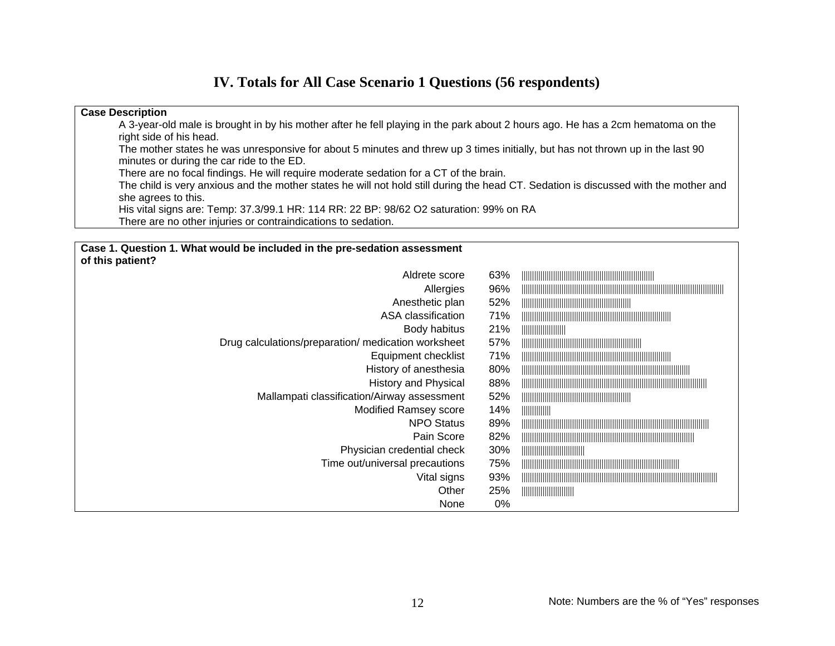## **IV. Totals for All Case Scenario 1 Questions (56 respondents)**

#### **Case Description**  A 3-year-old male is brought in by his mother after he fell playing in the park about 2 hours ago. He has a 2cm hematoma on the right side of his head. The mother states he was unresponsive for about 5 minutes and threw up 3 times initially, but has not thrown up in the last 90 minutes or during the car ride to the ED. There are no focal findings. He will require moderate sedation for a CT of the brain. The child is very anxious and the mother states he will not hold still during the head CT. Sedation is discussed with the mother and she agrees to this. His vital signs are: Temp: 37.3/99.1 HR: 114 RR: 22 BP: 98/62 O2 saturation: 99% on RA There are no other injuries or contraindications to sedation. **Case 1. Question 1. What would be included in the pre-sedation assessment of this patient?**  Aldrete score 63% |||||||||||||||||||||||||||||||||||||||||||||||||||||||||||||||

| Allergies                                           | 96%   |  |
|-----------------------------------------------------|-------|--|
| Anesthetic plan                                     | 52%   |  |
| ASA classification                                  | 71%   |  |
| Body habitus                                        | 21%   |  |
| Drug calculations/preparation/ medication worksheet | 57%   |  |
| Equipment checklist                                 | 71%   |  |
| History of anesthesia                               | 80%   |  |
| <b>History and Physical</b>                         | 88%   |  |
| Mallampati classification/Airway assessment         | 52%   |  |
| <b>Modified Ramsey score</b>                        | 14%   |  |
| <b>NPO Status</b>                                   | 89%   |  |
| Pain Score                                          | 82%   |  |
| Physician credential check                          | 30%   |  |
| Time out/universal precautions                      | 75%   |  |
| Vital signs                                         | 93%   |  |
| Other                                               | 25%   |  |
| None                                                | $0\%$ |  |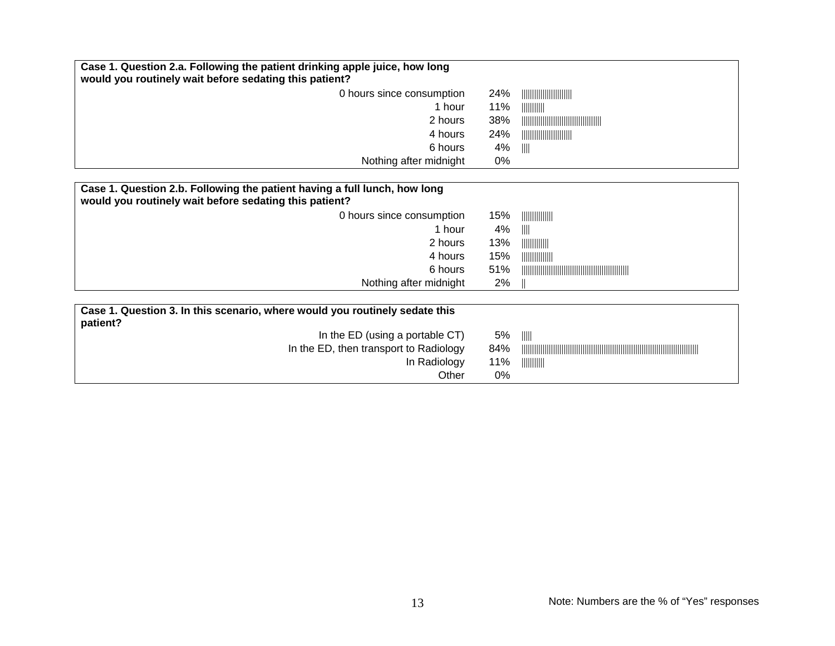| Case 1. Question 2.a. Following the patient drinking apple juice, how long<br>would you routinely wait before sedating this patient? |     |                                                                                                                                                                                                                                                                                                                     |
|--------------------------------------------------------------------------------------------------------------------------------------|-----|---------------------------------------------------------------------------------------------------------------------------------------------------------------------------------------------------------------------------------------------------------------------------------------------------------------------|
| 0 hours since consumption                                                                                                            | 24% |                                                                                                                                                                                                                                                                                                                     |
| 1 hour                                                                                                                               | 11% |                                                                                                                                                                                                                                                                                                                     |
| 2 hours                                                                                                                              | 38% |                                                                                                                                                                                                                                                                                                                     |
| 4 hours                                                                                                                              | 24% |                                                                                                                                                                                                                                                                                                                     |
| 6 hours                                                                                                                              | 4%  | $\  \cdot \ $                                                                                                                                                                                                                                                                                                       |
| Nothing after midnight                                                                                                               | 0%  |                                                                                                                                                                                                                                                                                                                     |
|                                                                                                                                      |     |                                                                                                                                                                                                                                                                                                                     |
| Case 1. Question 2.b. Following the patient having a full lunch, how long<br>would you routinely wait before sedating this patient?  |     |                                                                                                                                                                                                                                                                                                                     |
| 0 hours since consumption                                                                                                            | 15% |                                                                                                                                                                                                                                                                                                                     |
| 1 hour                                                                                                                               | 4%  | $\  \varphi \ $                                                                                                                                                                                                                                                                                                     |
| 2 hours                                                                                                                              | 13% | $\frac{1}{2}$ $\frac{1}{2}$ $\frac{1}{2}$ $\frac{1}{2}$ $\frac{1}{2}$ $\frac{1}{2}$ $\frac{1}{2}$ $\frac{1}{2}$ $\frac{1}{2}$ $\frac{1}{2}$ $\frac{1}{2}$ $\frac{1}{2}$ $\frac{1}{2}$ $\frac{1}{2}$ $\frac{1}{2}$ $\frac{1}{2}$ $\frac{1}{2}$ $\frac{1}{2}$ $\frac{1}{2}$ $\frac{1}{2}$ $\frac{1}{2}$ $\frac{1}{2}$ |
| 4 hours                                                                                                                              | 15% | $\frac{1}{2}$ $\frac{1}{2}$ $\frac{1}{2}$ $\frac{1}{2}$ $\frac{1}{2}$ $\frac{1}{2}$ $\frac{1}{2}$ $\frac{1}{2}$ $\frac{1}{2}$ $\frac{1}{2}$ $\frac{1}{2}$ $\frac{1}{2}$ $\frac{1}{2}$ $\frac{1}{2}$ $\frac{1}{2}$ $\frac{1}{2}$ $\frac{1}{2}$ $\frac{1}{2}$ $\frac{1}{2}$ $\frac{1}{2}$ $\frac{1}{2}$ $\frac{1}{2}$ |
| 6 hours                                                                                                                              | 51% |                                                                                                                                                                                                                                                                                                                     |
| Nothing after midnight                                                                                                               | 2%  |                                                                                                                                                                                                                                                                                                                     |
|                                                                                                                                      |     |                                                                                                                                                                                                                                                                                                                     |
| Case 1. Question 3. In this scenario, where would you routinely sedate this<br>patient?                                              |     |                                                                                                                                                                                                                                                                                                                     |
| In the ED (using a portable CT)                                                                                                      | 5%  | $\  \ \ $                                                                                                                                                                                                                                                                                                           |
| In the ED, then transport to Radiology                                                                                               | 84% |                                                                                                                                                                                                                                                                                                                     |
| In Radiology                                                                                                                         | 11% | $\frac{1}{2}$ $\frac{1}{2}$ $\frac{1}{2}$ $\frac{1}{2}$ $\frac{1}{2}$ $\frac{1}{2}$ $\frac{1}{2}$ $\frac{1}{2}$ $\frac{1}{2}$ $\frac{1}{2}$ $\frac{1}{2}$ $\frac{1}{2}$ $\frac{1}{2}$ $\frac{1}{2}$ $\frac{1}{2}$ $\frac{1}{2}$ $\frac{1}{2}$ $\frac{1}{2}$ $\frac{1}{2}$ $\frac{1}{2}$ $\frac{1}{2}$ $\frac{1}{2}$ |
| Other                                                                                                                                | 0%  |                                                                                                                                                                                                                                                                                                                     |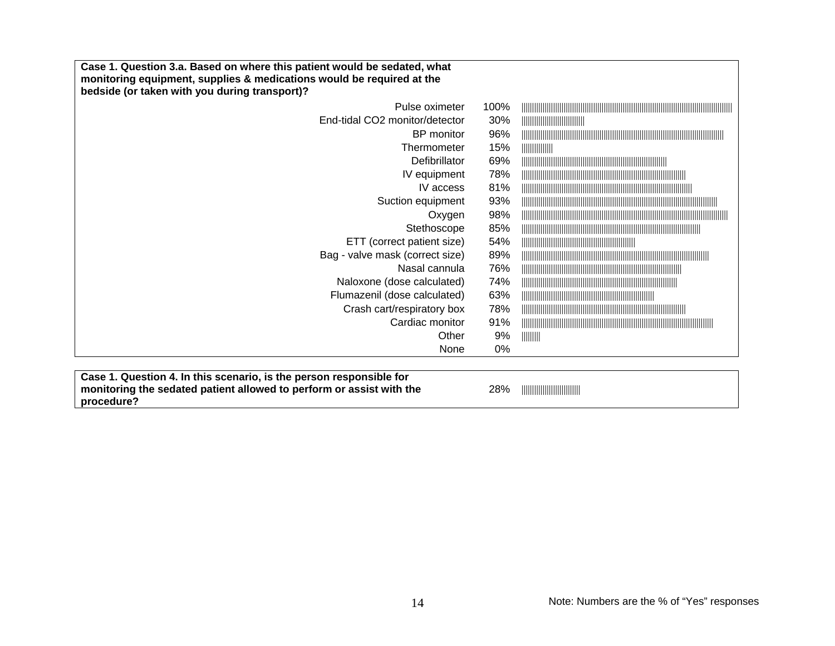| Case 1. Question 3.a. Based on where this patient would be sedated, what<br>monitoring equipment, supplies & medications would be required at the<br>bedside (or taken with you during transport)? |      |                                                                                                                |
|----------------------------------------------------------------------------------------------------------------------------------------------------------------------------------------------------|------|----------------------------------------------------------------------------------------------------------------|
| Pulse oximeter                                                                                                                                                                                     | 100% |                                                                                                                |
| End-tidal CO2 monitor/detector                                                                                                                                                                     | 30%  |                                                                                                                |
| BP monitor                                                                                                                                                                                         | 96%  |                                                                                                                |
| Thermometer                                                                                                                                                                                        | 15%  |                                                                                                                |
| <b>Defibrillator</b>                                                                                                                                                                               | 69%  |                                                                                                                |
| IV equipment                                                                                                                                                                                       | 78%  |                                                                                                                |
| IV access                                                                                                                                                                                          | 81%  |                                                                                                                |
| Suction equipment                                                                                                                                                                                  | 93%  |                                                                                                                |
| Oxygen                                                                                                                                                                                             | 98%  |                                                                                                                |
| Stethoscope                                                                                                                                                                                        | 85%  |                                                                                                                |
| ETT (correct patient size)                                                                                                                                                                         | 54%  |                                                                                                                |
| Bag - valve mask (correct size)                                                                                                                                                                    | 89%  |                                                                                                                |
| Nasal cannula                                                                                                                                                                                      | 76%  |                                                                                                                |
| Naloxone (dose calculated)                                                                                                                                                                         | 74%  |                                                                                                                |
| Flumazenil (dose calculated)                                                                                                                                                                       | 63%  |                                                                                                                |
| Crash cart/respiratory box                                                                                                                                                                         | 78%  |                                                                                                                |
| Cardiac monitor                                                                                                                                                                                    | 91%  |                                                                                                                |
| Other                                                                                                                                                                                              | 9%   | $\begin{array}{c} \hline \text{  }{\text{  }{\text{  }{\text{  }}{\text{  }}{\text{  }}}\\ \hline \end{array}$ |
| None                                                                                                                                                                                               | 0%   |                                                                                                                |

| Case 1. Question 4. In this scenario, is the person responsible for  |     |  |
|----------------------------------------------------------------------|-----|--|
| monitoring the sedated patient allowed to perform or assist with the | 28% |  |
| procedure?                                                           |     |  |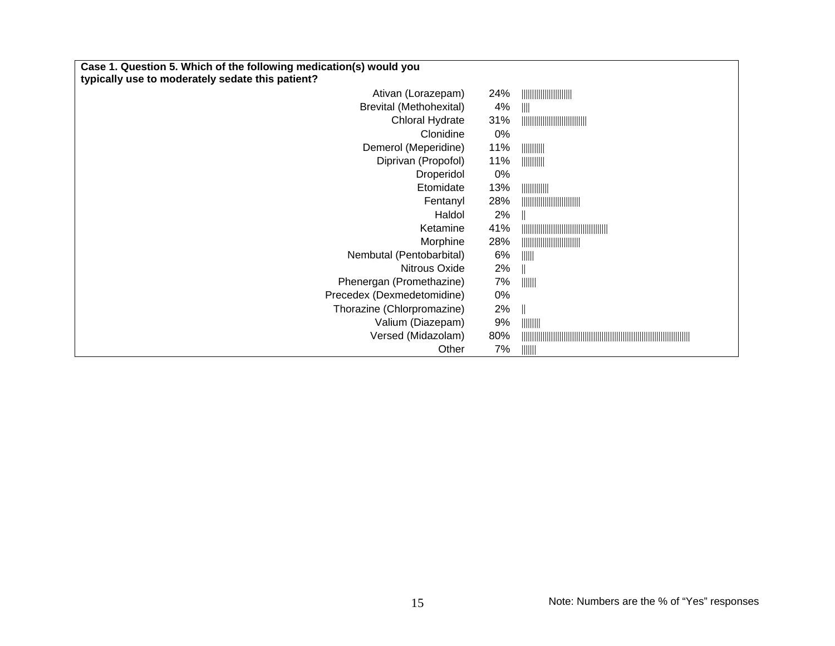| Case 1. Question 5. Which of the following medication(s) would you |     |                                                                                                                                                                                                                                                                                                                     |  |
|--------------------------------------------------------------------|-----|---------------------------------------------------------------------------------------------------------------------------------------------------------------------------------------------------------------------------------------------------------------------------------------------------------------------|--|
| typically use to moderately sedate this patient?                   |     |                                                                                                                                                                                                                                                                                                                     |  |
| Ativan (Lorazepam)                                                 | 24% |                                                                                                                                                                                                                                                                                                                     |  |
| <b>Brevital (Methohexital)</b>                                     | 4%  |                                                                                                                                                                                                                                                                                                                     |  |
| <b>Chloral Hydrate</b>                                             | 31% |                                                                                                                                                                                                                                                                                                                     |  |
| Clonidine                                                          | 0%  |                                                                                                                                                                                                                                                                                                                     |  |
| Demerol (Meperidine)                                               | 11% |                                                                                                                                                                                                                                                                                                                     |  |
| Diprivan (Propofol)                                                | 11% | $\frac{1}{2}$ $\frac{1}{2}$ $\frac{1}{2}$ $\frac{1}{2}$ $\frac{1}{2}$ $\frac{1}{2}$ $\frac{1}{2}$ $\frac{1}{2}$ $\frac{1}{2}$ $\frac{1}{2}$ $\frac{1}{2}$ $\frac{1}{2}$ $\frac{1}{2}$ $\frac{1}{2}$ $\frac{1}{2}$ $\frac{1}{2}$ $\frac{1}{2}$ $\frac{1}{2}$ $\frac{1}{2}$ $\frac{1}{2}$ $\frac{1}{2}$ $\frac{1}{2}$ |  |
| Droperidol                                                         | 0%  |                                                                                                                                                                                                                                                                                                                     |  |
| Etomidate                                                          | 13% | $\frac{1}{2}$ $\frac{1}{2}$ $\frac{1}{2}$ $\frac{1}{2}$ $\frac{1}{2}$ $\frac{1}{2}$ $\frac{1}{2}$ $\frac{1}{2}$ $\frac{1}{2}$ $\frac{1}{2}$ $\frac{1}{2}$ $\frac{1}{2}$ $\frac{1}{2}$ $\frac{1}{2}$ $\frac{1}{2}$ $\frac{1}{2}$ $\frac{1}{2}$ $\frac{1}{2}$ $\frac{1}{2}$ $\frac{1}{2}$ $\frac{1}{2}$ $\frac{1}{2}$ |  |
| Fentanyl                                                           | 28% |                                                                                                                                                                                                                                                                                                                     |  |
| Haldol                                                             | 2%  |                                                                                                                                                                                                                                                                                                                     |  |
| Ketamine                                                           | 41% |                                                                                                                                                                                                                                                                                                                     |  |
| Morphine                                                           | 28% |                                                                                                                                                                                                                                                                                                                     |  |
| Nembutal (Pentobarbital)                                           | 6%  | $\parallel$                                                                                                                                                                                                                                                                                                         |  |
| Nitrous Oxide                                                      | 2%  |                                                                                                                                                                                                                                                                                                                     |  |
| Phenergan (Promethazine)                                           | 7%  | $\parallel \parallel \parallel \parallel \parallel$                                                                                                                                                                                                                                                                 |  |
| Precedex (Dexmedetomidine)                                         | 0%  |                                                                                                                                                                                                                                                                                                                     |  |
| Thorazine (Chlorpromazine)                                         | 2%  | $\frac{1}{2}$                                                                                                                                                                                                                                                                                                       |  |
| Valium (Diazepam)                                                  | 9%  |                                                                                                                                                                                                                                                                                                                     |  |
| Versed (Midazolam)                                                 | 80% |                                                                                                                                                                                                                                                                                                                     |  |
| Other                                                              | 7%  | $\parallel \parallel \parallel \parallel \parallel$                                                                                                                                                                                                                                                                 |  |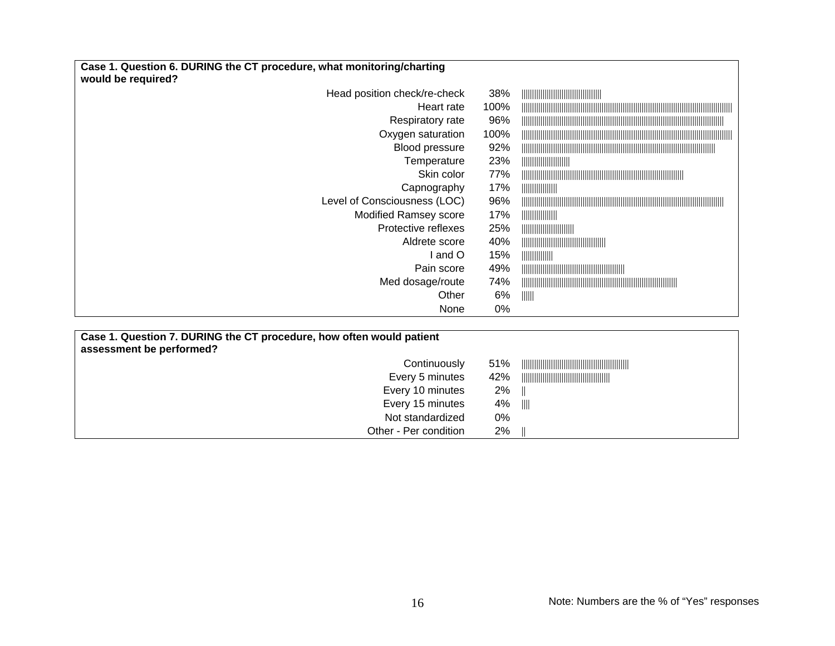| Case 1. Question 6. DURING the CT procedure, what monitoring/charting<br>would be required? |      |                |
|---------------------------------------------------------------------------------------------|------|----------------|
| Head position check/re-check                                                                | 38%  |                |
| Heart rate                                                                                  | 100% |                |
| Respiratory rate                                                                            | 96%  |                |
| Oxygen saturation                                                                           | 100% |                |
| Blood pressure                                                                              | 92%  |                |
| Temperature                                                                                 | 23%  |                |
| Skin color                                                                                  | 77%  |                |
| Capnography                                                                                 | 17%  |                |
| Level of Consciousness (LOC)                                                                | 96%  |                |
| <b>Modified Ramsey score</b>                                                                | 17%  |                |
| Protective reflexes                                                                         | 25%  |                |
| Aldrete score                                                                               | 40%  |                |
| and O                                                                                       | 15%  |                |
| Pain score                                                                                  | 49%  |                |
| Med dosage/route                                                                            | 74%  |                |
| Other                                                                                       | 6%   | $\  \ \  \ \ $ |
| None                                                                                        | 0%   |                |

| Case 1. Question 7. DURING the CT procedure, how often would patient<br>assessment be performed? |     |        |
|--------------------------------------------------------------------------------------------------|-----|--------|
| Continuously                                                                                     | 51% |        |
| Every 5 minutes                                                                                  | 42% |        |
| Every 10 minutes                                                                                 | 2%  |        |
| Every 15 minutes                                                                                 | 4%  | - 1111 |
| Not standardized                                                                                 | 0%  |        |
| Other - Per condition                                                                            | 2%  |        |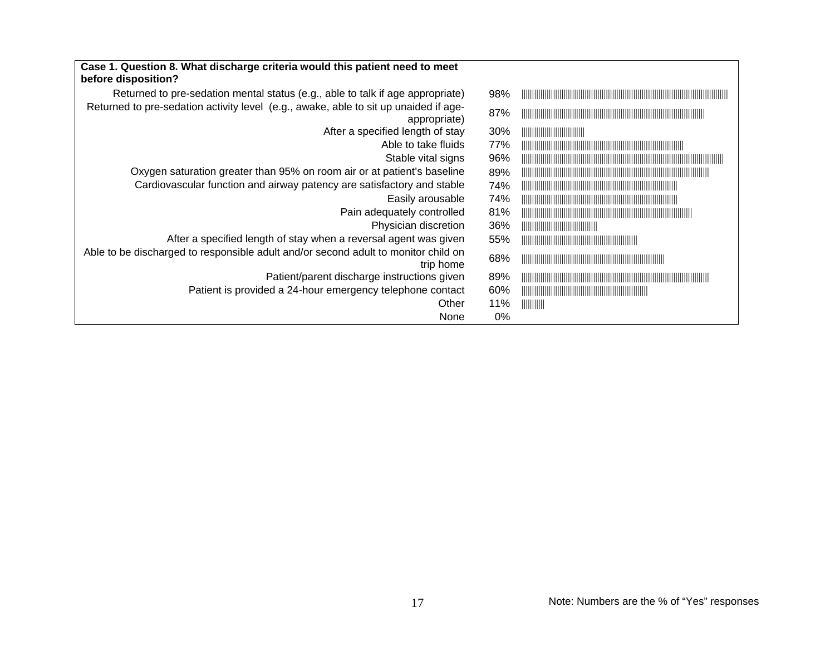| Case 1. Question 8. What discharge criteria would this patient need to meet<br>before disposition?   |     |                                                                                                                                                                                                                                                                                                                     |
|------------------------------------------------------------------------------------------------------|-----|---------------------------------------------------------------------------------------------------------------------------------------------------------------------------------------------------------------------------------------------------------------------------------------------------------------------|
| Returned to pre-sedation mental status (e.g., able to talk if age appropriate)                       | 98% |                                                                                                                                                                                                                                                                                                                     |
| Returned to pre-sedation activity level (e.g., awake, able to sit up unaided if age-<br>appropriate) | 87% |                                                                                                                                                                                                                                                                                                                     |
| After a specified length of stay                                                                     | 30% |                                                                                                                                                                                                                                                                                                                     |
| Able to take fluids                                                                                  | 77% |                                                                                                                                                                                                                                                                                                                     |
| Stable vital signs                                                                                   | 96% |                                                                                                                                                                                                                                                                                                                     |
| Oxygen saturation greater than 95% on room air or at patient's baseline                              | 89% |                                                                                                                                                                                                                                                                                                                     |
| Cardiovascular function and airway patency are satisfactory and stable                               | 74% |                                                                                                                                                                                                                                                                                                                     |
| Easily arousable                                                                                     | 74% |                                                                                                                                                                                                                                                                                                                     |
| Pain adequately controlled                                                                           | 81% |                                                                                                                                                                                                                                                                                                                     |
| Physician discretion                                                                                 | 36% |                                                                                                                                                                                                                                                                                                                     |
| After a specified length of stay when a reversal agent was given                                     | 55% |                                                                                                                                                                                                                                                                                                                     |
| Able to be discharged to responsible adult and/or second adult to monitor child on<br>trip home      | 68% |                                                                                                                                                                                                                                                                                                                     |
| Patient/parent discharge instructions given                                                          | 89% |                                                                                                                                                                                                                                                                                                                     |
| Patient is provided a 24-hour emergency telephone contact                                            | 60% |                                                                                                                                                                                                                                                                                                                     |
| Other                                                                                                | 11% | $\frac{1}{2}$ $\frac{1}{2}$ $\frac{1}{2}$ $\frac{1}{2}$ $\frac{1}{2}$ $\frac{1}{2}$ $\frac{1}{2}$ $\frac{1}{2}$ $\frac{1}{2}$ $\frac{1}{2}$ $\frac{1}{2}$ $\frac{1}{2}$ $\frac{1}{2}$ $\frac{1}{2}$ $\frac{1}{2}$ $\frac{1}{2}$ $\frac{1}{2}$ $\frac{1}{2}$ $\frac{1}{2}$ $\frac{1}{2}$ $\frac{1}{2}$ $\frac{1}{2}$ |
| None                                                                                                 | 0%  |                                                                                                                                                                                                                                                                                                                     |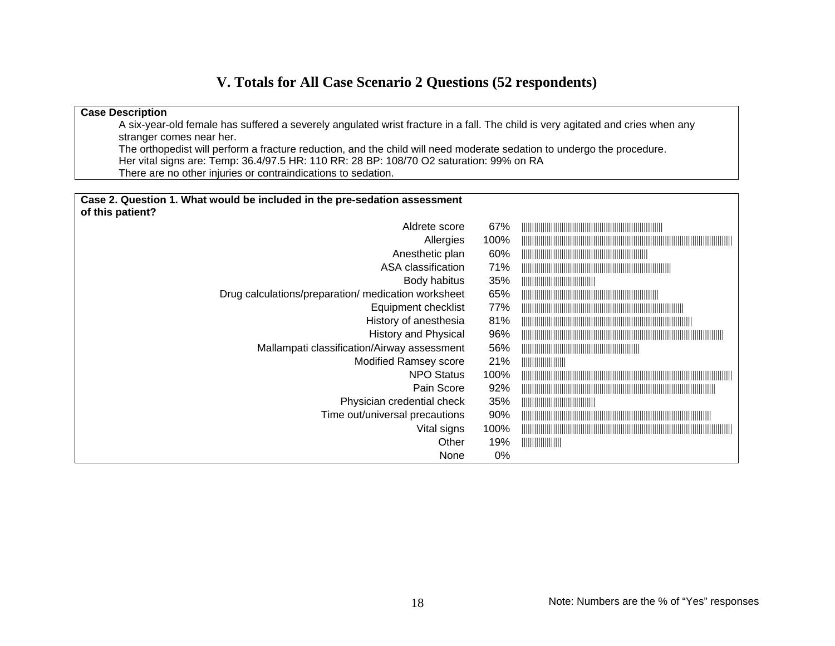## **V. Totals for All Case Scenario 2 Questions (52 respondents)**

#### **Case Description**  A six-year-old female has suffered a severely angulated wrist fracture in a fall. The child is very agitated and cries when any stranger comes near her. The orthopedist will perform a fracture reduction, and the child will need moderate sedation to undergo the procedure. Her vital signs are: Temp: 36.4/97.5 HR: 110 RR: 28 BP: 108/70 O2 saturation: 99% on RA There are no other injuries or contraindications to sedation.

| Case 2. Question 1. What would be included in the pre-sedation assessment |      |               |
|---------------------------------------------------------------------------|------|---------------|
| of this patient?                                                          |      |               |
| Aldrete score                                                             | 67%  |               |
| Allergies                                                                 | 100% |               |
| Anesthetic plan                                                           | 60%  |               |
| ASA classification                                                        | 71%  |               |
| Body habitus                                                              | 35%  |               |
| Drug calculations/preparation/ medication worksheet                       | 65%  |               |
| Equipment checklist                                                       | 77%  |               |
| History of anesthesia                                                     | 81%  |               |
| <b>History and Physical</b>                                               | 96%  |               |
| Mallampati classification/Airway assessment                               | 56%  |               |
| <b>Modified Ramsey score</b>                                              | 21%  |               |
| <b>NPO Status</b>                                                         | 100% |               |
| Pain Score                                                                | 92%  |               |
| Physician credential check                                                | 35%  |               |
| Time out/universal precautions                                            | 90%  |               |
| Vital signs                                                               | 100% |               |
| Other                                                                     | 19%  | $\frac{1}{2}$ |
| None                                                                      | 0%   |               |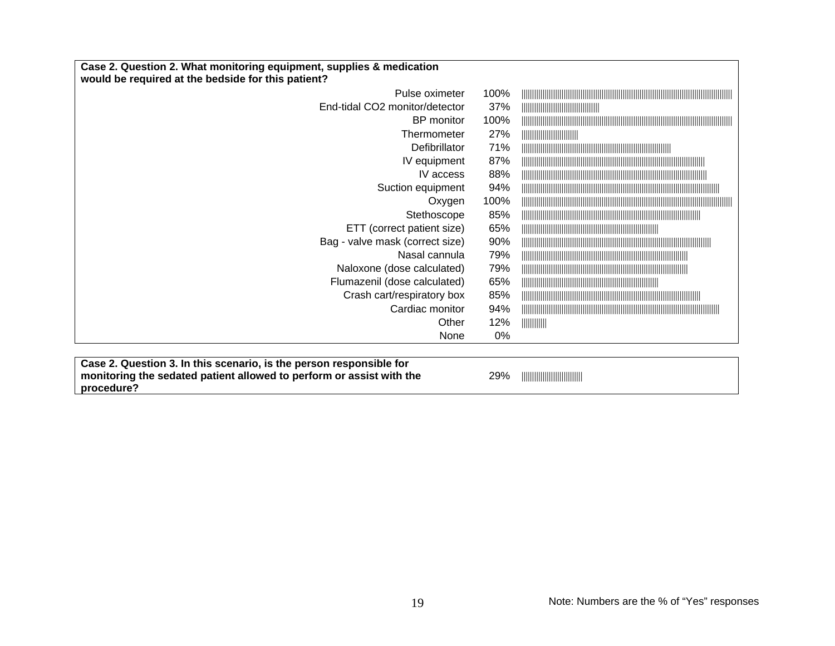| Case 2. Question 2. What monitoring equipment, supplies & medication<br>would be required at the bedside for this patient? |      |                                                                                                                                                                                                                                                                                                                     |
|----------------------------------------------------------------------------------------------------------------------------|------|---------------------------------------------------------------------------------------------------------------------------------------------------------------------------------------------------------------------------------------------------------------------------------------------------------------------|
| Pulse oximeter                                                                                                             | 100% |                                                                                                                                                                                                                                                                                                                     |
| End-tidal CO2 monitor/detector                                                                                             | 37%  |                                                                                                                                                                                                                                                                                                                     |
| BP monitor                                                                                                                 | 100% |                                                                                                                                                                                                                                                                                                                     |
| Thermometer                                                                                                                | 27%  |                                                                                                                                                                                                                                                                                                                     |
| Defibrillator                                                                                                              | 71%  |                                                                                                                                                                                                                                                                                                                     |
| IV equipment                                                                                                               | 87%  |                                                                                                                                                                                                                                                                                                                     |
| IV access                                                                                                                  | 88%  |                                                                                                                                                                                                                                                                                                                     |
| Suction equipment                                                                                                          | 94%  |                                                                                                                                                                                                                                                                                                                     |
| Oxygen                                                                                                                     | 100% |                                                                                                                                                                                                                                                                                                                     |
| Stethoscope                                                                                                                | 85%  |                                                                                                                                                                                                                                                                                                                     |
| ETT (correct patient size)                                                                                                 | 65%  |                                                                                                                                                                                                                                                                                                                     |
| Bag - valve mask (correct size)                                                                                            | 90%  |                                                                                                                                                                                                                                                                                                                     |
| Nasal cannula                                                                                                              | 79%  |                                                                                                                                                                                                                                                                                                                     |
| Naloxone (dose calculated)                                                                                                 | 79%  |                                                                                                                                                                                                                                                                                                                     |
| Flumazenil (dose calculated)                                                                                               | 65%  |                                                                                                                                                                                                                                                                                                                     |
| Crash cart/respiratory box                                                                                                 | 85%  |                                                                                                                                                                                                                                                                                                                     |
| Cardiac monitor                                                                                                            | 94%  |                                                                                                                                                                                                                                                                                                                     |
| Other                                                                                                                      | 12%  | $\frac{1}{2}$ $\frac{1}{2}$ $\frac{1}{2}$ $\frac{1}{2}$ $\frac{1}{2}$ $\frac{1}{2}$ $\frac{1}{2}$ $\frac{1}{2}$ $\frac{1}{2}$ $\frac{1}{2}$ $\frac{1}{2}$ $\frac{1}{2}$ $\frac{1}{2}$ $\frac{1}{2}$ $\frac{1}{2}$ $\frac{1}{2}$ $\frac{1}{2}$ $\frac{1}{2}$ $\frac{1}{2}$ $\frac{1}{2}$ $\frac{1}{2}$ $\frac{1}{2}$ |
| None                                                                                                                       | 0%   |                                                                                                                                                                                                                                                                                                                     |

| Case 2. Question 3. In this scenario, is the person responsible for  |
|----------------------------------------------------------------------|
| monitoring the sedated patient allowed to perform or assist with the |
| procedure?                                                           |

29% ||||||||||||||||||||||||||||||||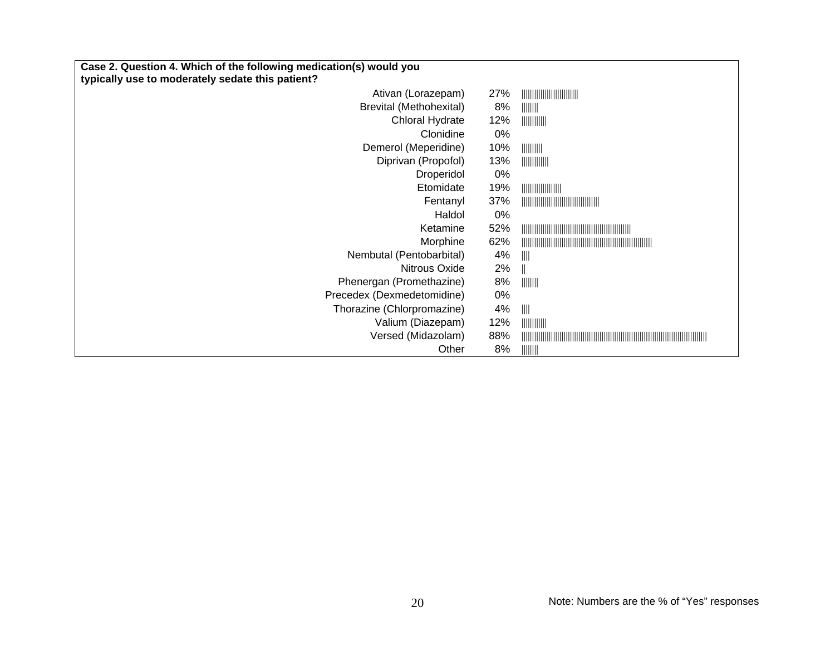| Case 2. Question 4. Which of the following medication(s) would you |     |                                                                                                                                                                                                                                                                                                                     |
|--------------------------------------------------------------------|-----|---------------------------------------------------------------------------------------------------------------------------------------------------------------------------------------------------------------------------------------------------------------------------------------------------------------------|
| typically use to moderately sedate this patient?                   |     |                                                                                                                                                                                                                                                                                                                     |
| Ativan (Lorazepam)                                                 | 27% |                                                                                                                                                                                                                                                                                                                     |
| <b>Brevital (Methohexital)</b>                                     | 8%  |                                                                                                                                                                                                                                                                                                                     |
| Chloral Hydrate                                                    | 12% | $\frac{1}{2}$ $\frac{1}{2}$ $\frac{1}{2}$ $\frac{1}{2}$ $\frac{1}{2}$ $\frac{1}{2}$ $\frac{1}{2}$ $\frac{1}{2}$ $\frac{1}{2}$ $\frac{1}{2}$ $\frac{1}{2}$ $\frac{1}{2}$ $\frac{1}{2}$ $\frac{1}{2}$ $\frac{1}{2}$ $\frac{1}{2}$ $\frac{1}{2}$ $\frac{1}{2}$ $\frac{1}{2}$ $\frac{1}{2}$ $\frac{1}{2}$ $\frac{1}{2}$ |
| Clonidine                                                          | 0%  |                                                                                                                                                                                                                                                                                                                     |
| Demerol (Meperidine)                                               | 10% | $\frac{1}{2}$ $\frac{1}{2}$ $\frac{1}{2}$ $\frac{1}{2}$ $\frac{1}{2}$ $\frac{1}{2}$ $\frac{1}{2}$ $\frac{1}{2}$ $\frac{1}{2}$ $\frac{1}{2}$ $\frac{1}{2}$ $\frac{1}{2}$ $\frac{1}{2}$ $\frac{1}{2}$ $\frac{1}{2}$ $\frac{1}{2}$ $\frac{1}{2}$ $\frac{1}{2}$ $\frac{1}{2}$ $\frac{1}{2}$ $\frac{1}{2}$ $\frac{1}{2}$ |
| Diprivan (Propofol)                                                | 13% | $\frac{1}{2}$ $\frac{1}{2}$ $\frac{1}{2}$ $\frac{1}{2}$ $\frac{1}{2}$ $\frac{1}{2}$ $\frac{1}{2}$ $\frac{1}{2}$ $\frac{1}{2}$ $\frac{1}{2}$ $\frac{1}{2}$ $\frac{1}{2}$ $\frac{1}{2}$ $\frac{1}{2}$ $\frac{1}{2}$ $\frac{1}{2}$ $\frac{1}{2}$ $\frac{1}{2}$ $\frac{1}{2}$ $\frac{1}{2}$ $\frac{1}{2}$ $\frac{1}{2}$ |
| Droperidol                                                         | 0%  |                                                                                                                                                                                                                                                                                                                     |
| Etomidate                                                          | 19% |                                                                                                                                                                                                                                                                                                                     |
| Fentanyl                                                           | 37% |                                                                                                                                                                                                                                                                                                                     |
| Haldol                                                             | 0%  |                                                                                                                                                                                                                                                                                                                     |
| Ketamine                                                           | 52% |                                                                                                                                                                                                                                                                                                                     |
| Morphine                                                           | 62% |                                                                                                                                                                                                                                                                                                                     |
| Nembutal (Pentobarbital)                                           | 4%  | $\  \, \ $                                                                                                                                                                                                                                                                                                          |
| Nitrous Oxide                                                      | 2%  |                                                                                                                                                                                                                                                                                                                     |
| Phenergan (Promethazine)                                           | 8%  |                                                                                                                                                                                                                                                                                                                     |
| Precedex (Dexmedetomidine)                                         | 0%  |                                                                                                                                                                                                                                                                                                                     |
| Thorazine (Chlorpromazine)                                         | 4%  | $\  \, \ $                                                                                                                                                                                                                                                                                                          |
| Valium (Diazepam)                                                  | 12% | $\frac{1}{2}$ $\frac{1}{2}$ $\frac{1}{2}$ $\frac{1}{2}$ $\frac{1}{2}$ $\frac{1}{2}$ $\frac{1}{2}$ $\frac{1}{2}$ $\frac{1}{2}$ $\frac{1}{2}$ $\frac{1}{2}$ $\frac{1}{2}$ $\frac{1}{2}$ $\frac{1}{2}$ $\frac{1}{2}$ $\frac{1}{2}$ $\frac{1}{2}$ $\frac{1}{2}$ $\frac{1}{2}$ $\frac{1}{2}$ $\frac{1}{2}$ $\frac{1}{2}$ |
| Versed (Midazolam)                                                 | 88% |                                                                                                                                                                                                                                                                                                                     |
| Other                                                              | 8%  |                                                                                                                                                                                                                                                                                                                     |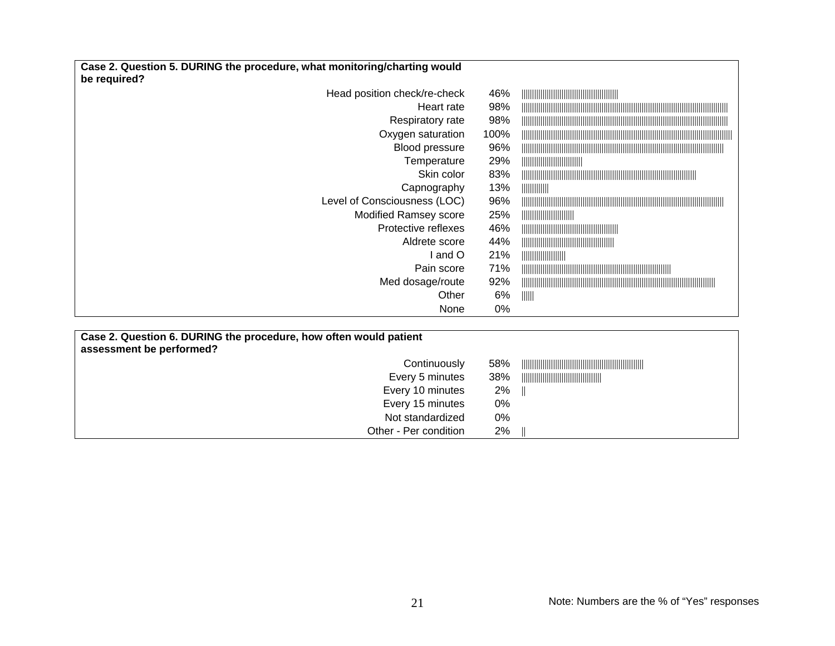| Case 2. Question 5. DURING the procedure, what monitoring/charting would<br>be required? |      |               |
|------------------------------------------------------------------------------------------|------|---------------|
| Head position check/re-check                                                             | 46%  |               |
| Heart rate                                                                               | 98%  |               |
| Respiratory rate                                                                         | 98%  |               |
| Oxygen saturation                                                                        | 100% |               |
| Blood pressure                                                                           | 96%  |               |
| Temperature                                                                              | 29%  |               |
| Skin color                                                                               | 83%  |               |
| Capnography                                                                              | 13%  | $\frac{1}{2}$ |
| Level of Consciousness (LOC)                                                             | 96%  |               |
| Modified Ramsey score                                                                    | 25%  |               |
| Protective reflexes                                                                      | 46%  |               |
| Aldrete score                                                                            | 44%  |               |
| and O                                                                                    | 21%  |               |
| Pain score                                                                               | 71%  |               |
| Med dosage/route                                                                         | 92%  |               |
| Other                                                                                    | 6%   | -IIIII        |
| None                                                                                     | 0%   |               |
|                                                                                          |      |               |

| Case 2. Question 6. DURING the procedure, how often would patient<br>assessment be performed? |     |  |
|-----------------------------------------------------------------------------------------------|-----|--|
| Continuously                                                                                  | 58% |  |
| Every 5 minutes                                                                               | 38% |  |
| Every 10 minutes                                                                              | 2%  |  |
| Every 15 minutes                                                                              | 0%  |  |
| Not standardized                                                                              | 0%  |  |
| Other - Per condition                                                                         | 2%  |  |